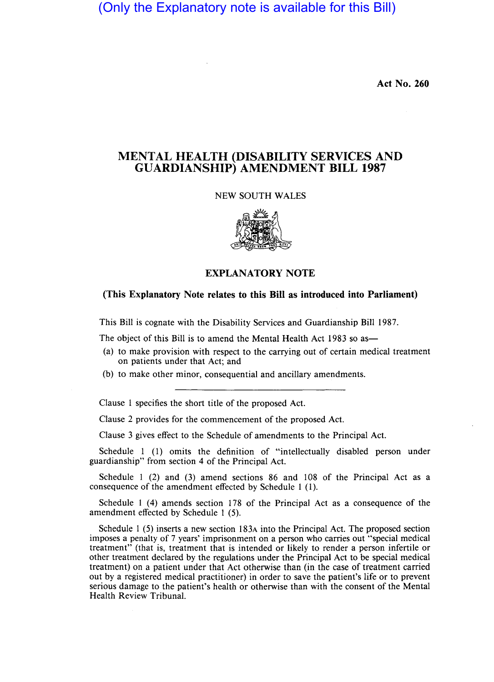(Only the Explanatory note is available for this Bill)

Act No. 260

## MENTAL HEALTH (DISABILITY SERVICES AND GUARDIANSHIP) AMENDMENT BILL 1987

NEW SOUTH WALES



## EXPLANATORY NOTE

## (This Explanatory Note relates to this Bill as introduced into Parliament)

This Bill is cognate with the Disability Services and Guardianship Bill 1987.

The object of this Bill is to amend the Mental Health Act 1983 so as—

- (a) to make provision with respect to the carrying out of certain medical treatment on patients under that Act; and
- (b) to make other minor, consequential and ancillary amendments.

Clause 1 specifies the short title of the proposed Act.

Clause 2 provides for the commencement of the proposed Act.

Clause 3 gives effect to the Schedule of amendments to the Principal Act.

Schedule 1 (1) omits the definition of "intellectually disabled person under guardianship" from section 4 of the Principal Act.

Schedule 1 (2) and (3) amend sections 86 and 108 of the Principal Act as a consequence of the amendment effected by Schedule 1 (1).

Schedule 1 (4) amends section 178 of the Principal Act as a consequence of the amendment effected by Schedule 1 (5).

Schedule 1 (5) inserts a new section 183A into the Principal Act. The proposed section imposes a penalty of 7 years' imprisonment on a person who carries out "special medical treatment" (that is, treatment that is intended or likely to render a person infertile or other treatment declared by the regulations under the Principal Act to be special medical treatment) on a patient under that Act otherwise than (in the case of treatment carried out by a registered medical practitioner) in order to save the patient's life or to prevent serious damage to the patient's health or otherwise than with the consent of the Mental Health Review Tribunal.